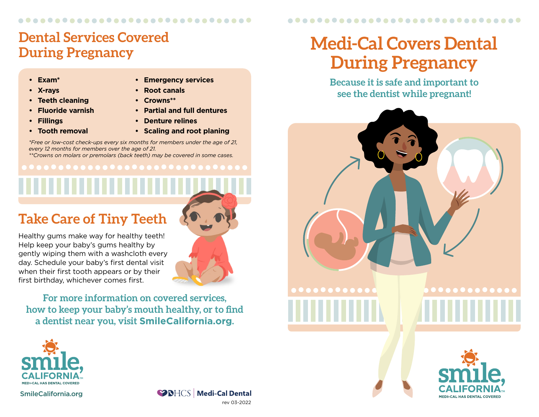### ..............................

## **Dental Services Covered During Pregnancy**

- **• Exam\***
- **• X-rays**
- **• Teeth cleaning**
- **• Fluoride varnish**
- **• Fillings**
- **• Tooth removal**
- **• Emergency services**
- **• Root canals**
- **• Crowns\*\***
- **• Partial and full dentures**
- **• Denture relines**
- **• Scaling and root planing**

*\*Free or low-cost check-ups every six months for members under the age of 21, every 12 months for members over the age of 21.*

*\*\*Crowns on molars or premolars (back teeth) may be covered in some cases.*

# **Take Care of Tiny Teeth**

Healthy gums make way for healthy teeth! Help keep your baby's gums healthy by gently wiping them with a washcloth every day. Schedule your baby's first dental visit when their first tooth appears or by their first birthday, whichever comes first.

**For more information on covered services, how to keep your baby's mouth healthy, or to find a dentist near you, visit [SmileCalifornia.org](http://SmileCalifornia.org).**



[SmileCalifornia.org](http://SmileCalifornia.org)



# **Medi-Cal Covers Dental During Pregnancy**

...............................

**Because it is safe and important to see the dentist while pregnant!**



MEDI-CAL HAS DENTAL COVERED